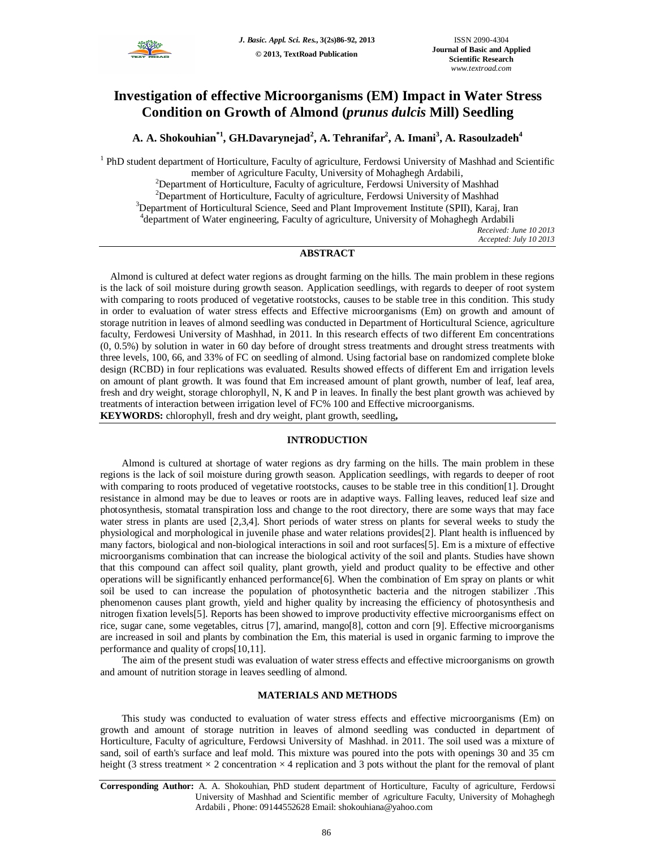

# **Investigation of effective Microorganisms (EM) Impact in Water Stress Condition on Growth of Almond (***prunus dulcis* **Mill) Seedling**

**A. A. Shokouhian\*1 , GH.Davarynejad<sup>2</sup> , A. Tehranifar<sup>2</sup> , A. Imani<sup>3</sup> , A. Rasoulzadeh<sup>4</sup>**

<sup>1</sup> PhD student department of Horticulture, Faculty of agriculture, Ferdowsi University of Mashhad and Scientific member of Agriculture Faculty, University of Mohaghegh Ardabili,

<sup>2</sup>Department of Horticulture, Faculty of agriculture, Ferdowsi University of Mashhad <sup>2</sup>Department of Horticulture, Faculty of agriculture, Ferdowsi University of Mashhad <sup>3</sup>Department of Horticultural Science, Seed and Plant Improvement Institute (SPII), Karaj, Iran 4 department of Water engineering, Faculty of agriculture, University of Mohaghegh Ardabili *Received: June 10 2013*

*Accepted: July 10 2013*

# **ABSTRACT**

 Almond is cultured at defect water regions as drought farming on the hills. The main problem in these regions is the lack of soil moisture during growth season. Application seedlings, with regards to deeper of root system with comparing to roots produced of vegetative rootstocks, causes to be stable tree in this condition. This study in order to evaluation of water stress effects and Effective microorganisms (Em) on growth and amount of storage nutrition in leaves of almond seedling was conducted in Department of Horticultural Science, agriculture faculty, Ferdowesi University of Mashhad, in 2011. In this research effects of two different Em concentrations (0, 0.5%) by solution in water in 60 day before of drought stress treatments and drought stress treatments with three levels, 100, 66, and 33% of FC on seedling of almond. Using factorial base on randomized complete bloke design (RCBD) in four replications was evaluated. Results showed effects of different Em and irrigation levels on amount of plant growth. It was found that Em increased amount of plant growth, number of leaf, leaf area, fresh and dry weight, storage chlorophyll, N, K and P in leaves. In finally the best plant growth was achieved by treatments of interaction between irrigation level of FC% 100 and Effective microorganisms. **KEYWORDS:** chlorophyll, fresh and dry weight, plant growth, seedling**,** 

## **INTRODUCTION**

Almond is cultured at shortage of water regions as dry farming on the hills. The main problem in these regions is the lack of soil moisture during growth season. Application seedlings, with regards to deeper of root with comparing to roots produced of vegetative rootstocks, causes to be stable tree in this condition[1]. Drought resistance in almond may be due to leaves or roots are in adaptive ways. Falling leaves, reduced leaf size and photosynthesis, stomatal transpiration loss and change to the root directory, there are some ways that may face water stress in plants are used [2,3,4]. Short periods of water stress on plants for several weeks to study the physiological and morphological in juvenile phase and water relations provides[2]. Plant health is influenced by many factors, biological and non-biological interactions in soil and root surfaces[5]. Em is a mixture of effective microorganisms combination that can increase the biological activity of the soil and plants. Studies have shown that this compound can affect soil quality, plant growth, yield and product quality to be effective and other operations will be significantly enhanced performance[6]. When the combination of Em spray on plants or whit soil be used to can increase the population of photosynthetic bacteria and the nitrogen stabilizer .This phenomenon causes plant growth, yield and higher quality by increasing the efficiency of photosynthesis and nitrogen fixation levels[5]. Reports has been showed to improve productivity effective microorganisms effect on rice, sugar cane, some vegetables, citrus [7], amarind, mango[8], cotton and corn [9]. Effective microorganisms are increased in soil and plants by combination the Em, this material is used in organic farming to improve the performance and quality of crops[10,11].

The aim of the present studi was evaluation of water stress effects and effective microorganisms on growth and amount of nutrition storage in leaves seedling of almond.

## **MATERIALS AND METHODS**

This study was conducted to evaluation of water stress effects and effective microorganisms (Em) on growth and amount of storage nutrition in leaves of almond seedling was conducted in department of Horticulture, Faculty of agriculture, Ferdowsi University of Mashhad. in 2011. The soil used was a mixture of sand, soil of earth's surface and leaf mold. This mixture was poured into the pots with openings 30 and 35 cm height (3 stress treatment  $\times$  2 concentration  $\times$  4 replication and 3 pots without the plant for the removal of plant

**Corresponding Author:** A. A. Shokouhian, PhD student department of Horticulture, Faculty of agriculture, Ferdowsi University of Mashhad and Scientific member of Agriculture Faculty, University of Mohaghegh Ardabili , Phone: 09144552628 Email: shokouhiana@yahoo.com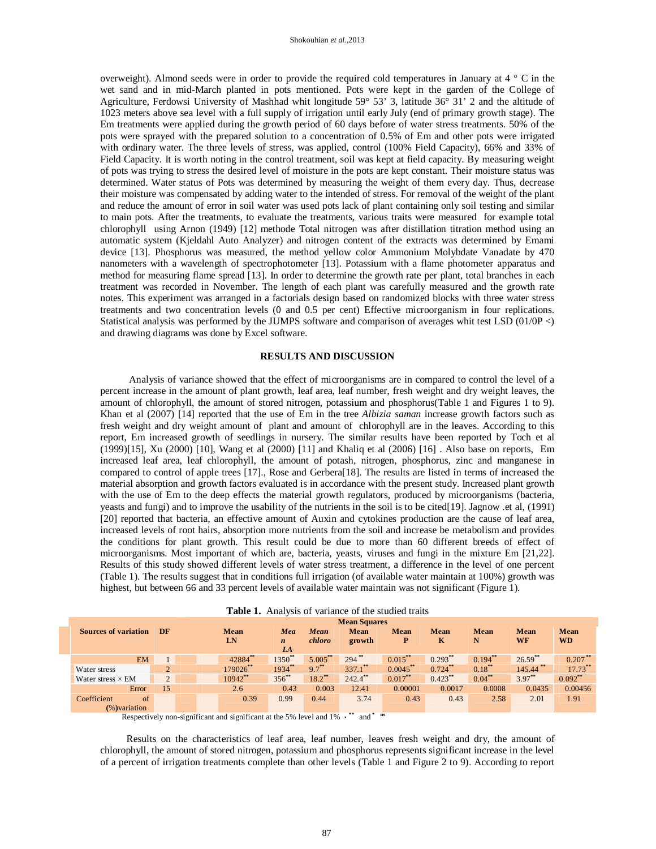overweight). Almond seeds were in order to provide the required cold temperatures in January at  $4 \degree$  C in the wet sand and in mid-March planted in pots mentioned. Pots were kept in the garden of the College of Agriculture, Ferdowsi University of Mashhad whit longitude 59° 53' 3, latitude 36° 31' 2 and the altitude of 1023 meters above sea level with a full supply of irrigation until early July (end of primary growth stage). The Em treatments were applied during the growth period of 60 days before of water stress treatments. 50% of the pots were sprayed with the prepared solution to a concentration of 0.5% of Em and other pots were irrigated with ordinary water. The three levels of stress, was applied, control (100% Field Capacity), 66% and 33% of Field Capacity. It is worth noting in the control treatment, soil was kept at field capacity. By measuring weight of pots was trying to stress the desired level of moisture in the pots are kept constant. Their moisture status was determined. Water status of Pots was determined by measuring the weight of them every day. Thus, decrease their moisture was compensated by adding water to the intended of stress. For removal of the weight of the plant and reduce the amount of error in soil water was used pots lack of plant containing only soil testing and similar to main pots. After the treatments, to evaluate the treatments, various traits were measured for example total chlorophyll using Arnon (1949) [12] methode Total nitrogen was after distillation titration method using an automatic system (Kjeldahl Auto Analyzer) and nitrogen content of the extracts was determined by Emami device [13]. Phosphorus was measured, the method yellow color Ammonium Molybdate Vanadate by 470 nanometers with a wavelength of spectrophotometer [13]. Potassium with a flame photometer apparatus and method for measuring flame spread [13]. In order to determine the growth rate per plant, total branches in each treatment was recorded in November. The length of each plant was carefully measured and the growth rate notes. This experiment was arranged in a factorials design based on randomized blocks with three water stress treatments and two concentration levels (0 and 0.5 per cent) Effective microorganism in four replications. Statistical analysis was performed by the JUMPS software and comparison of averages whit test LSD (01/0P <) and drawing diagrams was done by Excel software.

## **RESULTS AND DISCUSSION**

 Analysis of variance showed that the effect of microorganisms are in compared to control the level of a percent increase in the amount of plant growth, leaf area, leaf number, fresh weight and dry weight leaves, the amount of chlorophyll, the amount of stored nitrogen, potassium and phosphorus(Table 1 and Figures 1 to 9). Khan et al (2007) [14] reported that the use of Em in the tree *Albizia saman* increase growth factors such as fresh weight and dry weight amount of plant and amount of chlorophyll are in the leaves. According to this report, Em increased growth of seedlings in nursery. The similar results have been reported by Toch et al (1999)[15], Xu (2000) [10], Wang et al (2000) [11] and Khaliq et al (2006) [16] . Also base on reports, Em increased leaf area, leaf chlorophyll, the amount of potash, nitrogen, phosphorus, zinc and manganese in compared to control of apple trees [17]., Rose and Gerbera[18]. The results are listed in terms of increased the material absorption and growth factors evaluated is in accordance with the present study. Increased plant growth with the use of Em to the deep effects the material growth regulators, produced by microorganisms (bacteria, yeasts and fungi) and to improve the usability of the nutrients in the soil is to be cited[19]. Jagnow .et al, (1991) [20] reported that bacteria, an effective amount of Auxin and cytokines production are the cause of leaf area, increased levels of root hairs, absorption more nutrients from the soil and increase be metabolism and provides the conditions for plant growth. This result could be due to more than 60 different breeds of effect of microorganisms. Most important of which are, bacteria, yeasts, viruses and fungi in the mixture Em [21,22]. Results of this study showed different levels of water stress treatment, a difference in the level of one percent (Table 1). The results suggest that in conditions full irrigation (of available water maintain at 100%) growth was highest, but between 66 and 33 percent levels of available water maintain was not significant (Figure 1).

|  |                                             |                |  | <b>Mean Squares</b> |                               |                |                       |                  |                  |              |                   |                          |
|--|---------------------------------------------|----------------|--|---------------------|-------------------------------|----------------|-----------------------|------------------|------------------|--------------|-------------------|--------------------------|
|  | <b>Sources of variation</b>                 | DF             |  | Mean<br>LN          | Mea<br>$\boldsymbol{n}$<br>LA | Mean<br>chloro | <b>Mean</b><br>growth | <b>Mean</b><br>P | <b>Mean</b><br>к | Mean<br>N    | <b>Mean</b><br>WF | <b>Mean</b><br><b>WD</b> |
|  | <b>EM</b>                                   |                |  | 42884               | $1350^{**}$                   | 5.005          | $294$ <sup>**</sup>   | $0.015***$       | $0.293$ **       | $0.194^{**}$ | $26.59***$        | $0.207$ **               |
|  | Water stress                                | $\overline{2}$ |  | 179026**            | $1934***$                     | $9.7***$       | $337.1$ **            | $0.0045***$      | $0.724$ **       | $0.18***$    | $145.44$ **       | $17.73***$               |
|  | Water stress $\times$ EM                    | $\overline{2}$ |  | $10942$ **          | $356^{**}$                    | $18.2***$      | $242.4$ **            | $0.017***$       | $0.423***$       | $0.04^{**}$  | $3.97***$         | $0.092***$               |
|  | Error                                       | 15             |  | 2.6                 | 0.43                          | 0.003          | 12.41                 | 0.00001          | 0.0017           | 0.0008       | 0.0435            | 0.00456                  |
|  | Coefficient<br>$\sigma$<br>$(\%)$ variation |                |  | 0.39                | 0.99                          | 0.44           | 3.74                  | 0.43             | 0.43             | 2.58         | 2.01              | 1.91                     |

Respectively non-significant and significant at the 5% level and 1% **، \*\*** and **\* ns**

 Results on the characteristics of leaf area, leaf number, leaves fresh weight and dry, the amount of chlorophyll, the amount of stored nitrogen, potassium and phosphorus represents significant increase in the level of a percent of irrigation treatments complete than other levels (Table 1 and Figure 2 to 9). According to report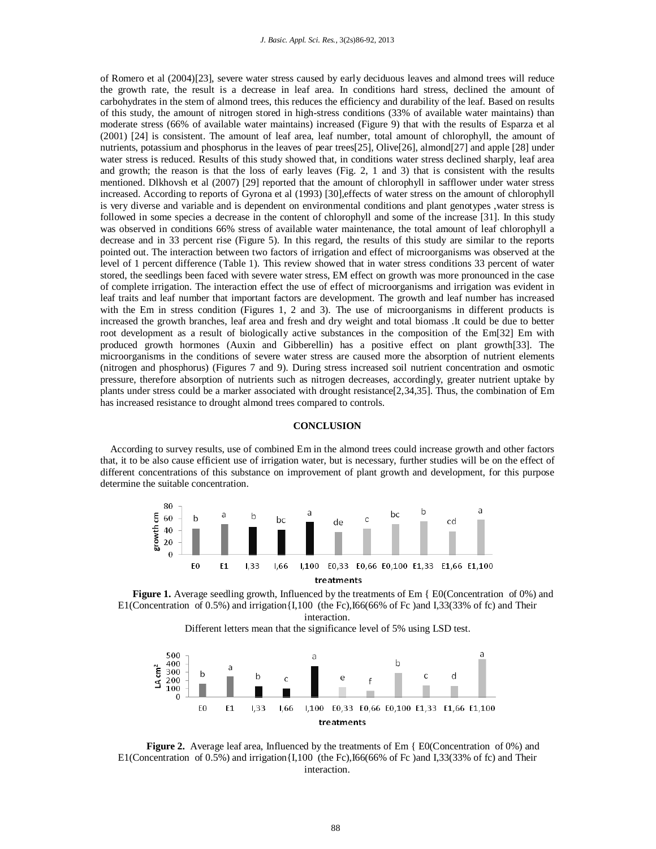of Romero et al (2004)[23], severe water stress caused by early deciduous leaves and almond trees will reduce the growth rate, the result is a decrease in leaf area. In conditions hard stress, declined the amount of carbohydrates in the stem of almond trees, this reduces the efficiency and durability of the leaf. Based on results of this study, the amount of nitrogen stored in high-stress conditions (33% of available water maintains) than moderate stress (66% of available water maintains) increased (Figure 9) that with the results of Esparza et al (2001) [24] is consistent. The amount of leaf area, leaf number, total amount of chlorophyll, the amount of nutrients, potassium and phosphorus in the leaves of pear trees[25], Olive[26], almond[27] and apple [28] under water stress is reduced. Results of this study showed that, in conditions water stress declined sharply, leaf area and growth; the reason is that the loss of early leaves (Fig. 2, 1 and 3) that is consistent with the results mentioned. Dlkhovsh et al (2007) [29] reported that the amount of chlorophyll in safflower under water stress increased. According to reports of Gyrona et al (1993) [30],effects of water stress on the amount of chlorophyll is very diverse and variable and is dependent on environmental conditions and plant genotypes ,water stress is followed in some species a decrease in the content of chlorophyll and some of the increase [31]. In this study was observed in conditions 66% stress of available water maintenance, the total amount of leaf chlorophyll a decrease and in 33 percent rise (Figure 5). In this regard, the results of this study are similar to the reports pointed out. The interaction between two factors of irrigation and effect of microorganisms was observed at the level of 1 percent difference (Table 1). This review showed that in water stress conditions 33 percent of water stored, the seedlings been faced with severe water stress, EM effect on growth was more pronounced in the case of complete irrigation. The interaction effect the use of effect of microorganisms and irrigation was evident in leaf traits and leaf number that important factors are development. The growth and leaf number has increased with the Em in stress condition (Figures 1, 2 and 3). The use of microorganisms in different products is increased the growth branches, leaf area and fresh and dry weight and total biomass .It could be due to better root development as a result of biologically active substances in the composition of the Em[32] Em with produced growth hormones (Auxin and Gibberellin) has a positive effect on plant growth[33]. The microorganisms in the conditions of severe water stress are caused more the absorption of nutrient elements (nitrogen and phosphorus) (Figures 7 and 9). During stress increased soil nutrient concentration and osmotic pressure, therefore absorption of nutrients such as nitrogen decreases, accordingly, greater nutrient uptake by plants under stress could be a marker associated with drought resistance[2,34,35]. Thus, the combination of Em has increased resistance to drought almond trees compared to controls.

### **CONCLUSION**

 According to survey results, use of combined Em in the almond trees could increase growth and other factors that, it to be also cause efficient use of irrigation water, but is necessary, further studies will be on the effect of different concentrations of this substance on improvement of plant growth and development, for this purpose determine the suitable concentration.



**Figure 1.** Average seedling growth, Influenced by the treatments of Em { E0(Concentration of 0%) and E1(Concentration of 0.5%) and irrigation $\{I,100\}$  (the Fc), I66(66% of Fc) and I,33(33% of fc) and Their interaction.

Different letters mean that the significance level of 5% using LSD test.



**Figure 2.** Average leaf area, Influenced by the treatments of Em { E0(Concentration of 0%) and E1(Concentration of 0.5%) and irrigation $\{I,100\}$  (the Fc), I66(66% of Fc) and I,33(33% of fc) and Their interaction.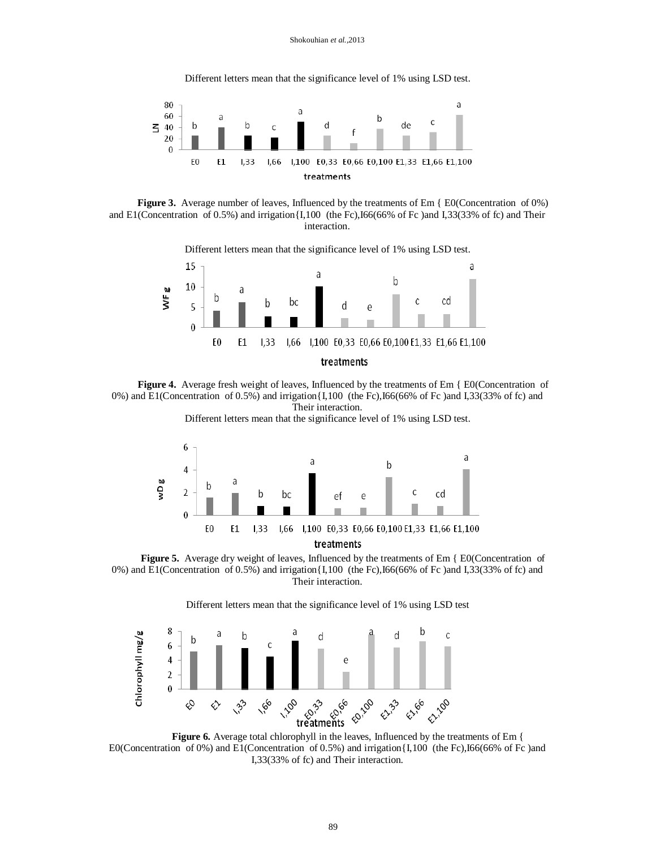Different letters mean that the significance level of 1% using LSD test.



**Figure 3.** Average number of leaves, Influenced by the treatments of Em { E0(Concentration of 0%) and E1(Concentration of 0.5%) and irrigation{I,100 (the Fc),I66(66% of Fc )and I,33(33% of fc) and Their interaction.

 Different letters mean that the significance level of 1% using LSD test. 15 a a b 10 WF g а b C cd bc b d 5  $\theta$ 0 E0 Ε1  $1,33$ 1,100 E0,33 E0,66 E0,100 E1,33 E1,66 E1,100 1,66 treatments

 $\overline{\phantom{a}}$ **Figure 4.** Average fresh weight of leaves, Influenced by the treatments of Em { E0(Concentration of 0%) and E1(Concentration of 0.5%) and irrigation{I,100 (the Fc),I66(66% of Fc )and I,33(33% of fc) and Their interaction.

Different letters mean that the significance level of 1% using LSD test.



**Figure 5.** Average dry weight of leaves, Influenced by the treatments of Em { E0(Concentration of 0%) and E1(Concentration of 0.5%) and irrigation{I,100 (the Fc),I66(66% of Fc )and I,33(33% of fc) and Their interaction.

Different letters mean that the significance level of 1% using LSD test



Figure 6. Average total chlorophyll in the leaves, Influenced by the treatments of Em { E0(Concentration of 0%) and E1(Concentration of 0.5%) and irrigation{I,100 (the Fc),I66(66% of Fc )and I,33(33% of fc) and Their interaction.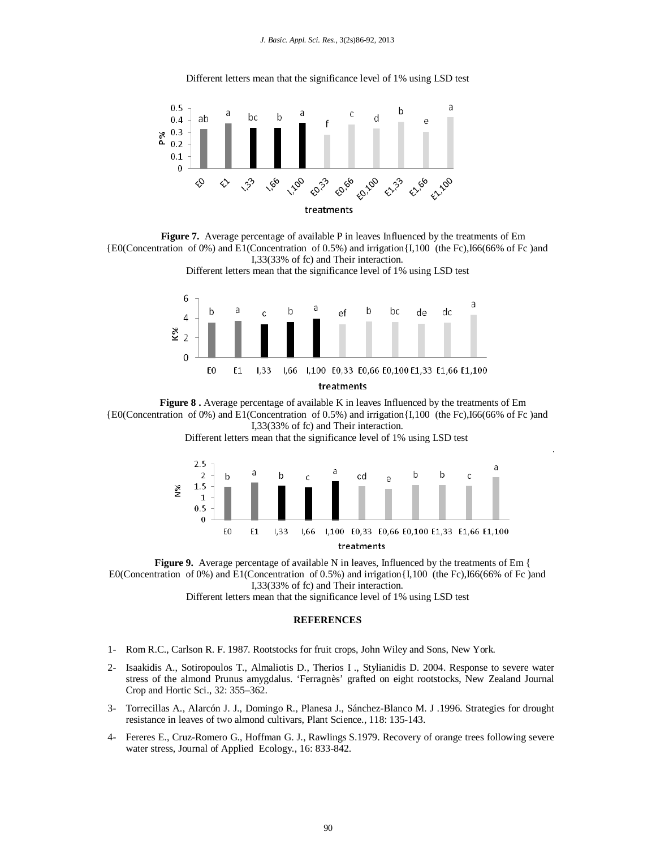

Different letters mean that the significance level of 1% using LSD test





**Figure 8 .** Average percentage of available K in leaves Influenced by the treatments of Em {E0(Concentration of 0%) and E1(Concentration of 0.5%) and irrigation{I,100 (the Fc),I66(66% of Fc )and I,33(33% of fc) and Their interaction.

Different letters mean that the significance level of 1% using LSD test



.

 $\overline{a}$ **Figure 9.** Average percentage of available N in leaves, Influenced by the treatments of Em { E0(Concentration of 0%) and E1(Concentration of 0.5%) and irrigation $\{1,100\}$  (the Fc), I66(66% of Fc) and I,33(33% of fc) and Their interaction.

Different letters mean that the significance level of 1% using LSD test

# **REFERENCES**

- 1- Rom R.C., Carlson R. F. 1987. Rootstocks for fruit crops, John Wiley and Sons, New York.
- 2- Isaakidis A., Sotiropoulos T., Almaliotis D., Therios I ., Stylianidis D. 2004. Response to severe water stress of the almond Prunus amygdalus. 'Ferragnès' grafted on eight rootstocks, New Zealand Journal Crop and Hortic Sci., 32: 355–362.
- 3- Torrecillas A., Alarcón J. J., Domingo R., Planesa J., Sánchez-Blanco M. J .1996. Strategies for drought resistance in leaves of two almond cultivars, Plant Science., 118: 135-143.
- 4- Fereres E., Cruz-Romero G., Hoffman G. J., Rawlings S.1979. Recovery of orange trees following severe water stress, Journal of Applied Ecology., 16: 833-842.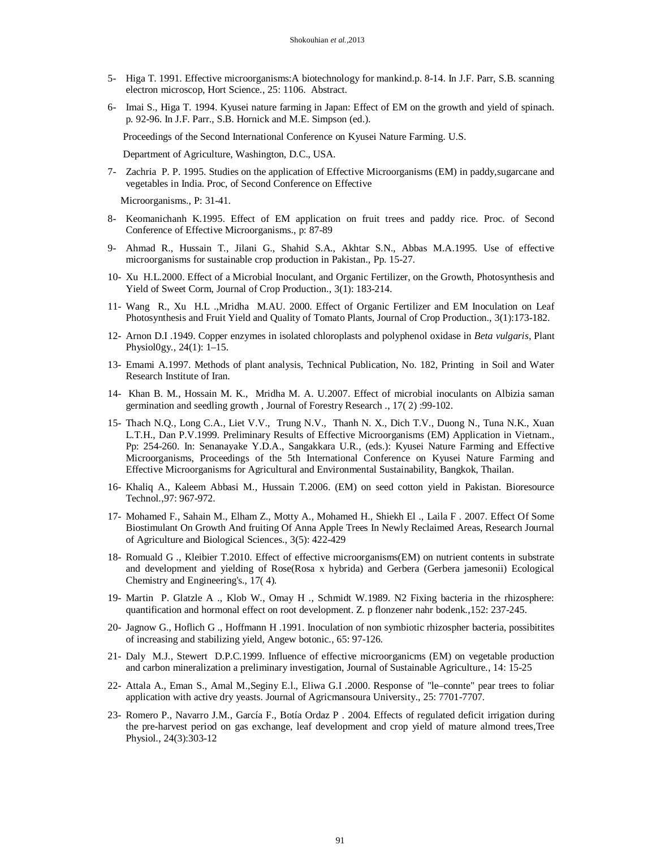- 5- Higa T. 1991. Effective microorganisms:A biotechnology for mankind.p. 8-14. In J.F. Parr, S.B. scanning electron microscop, Hort Science., 25: 1106. Abstract.
- 6- Imai S., Higa T. 1994. Kyusei nature farming in Japan: Effect of EM on the growth and yield of spinach. p. 92-96. In J.F. Parr., S.B. Hornick and M.E. Simpson (ed.).

Proceedings of the Second International Conference on Kyusei Nature Farming. U.S.

Department of Agriculture, Washington, D.C., USA.

7- Zachria P. P. 1995. Studies on the application of Effective Microorganisms (EM) in paddy,sugarcane and vegetables in India. Proc, of Second Conference on Effective

Microorganisms., P: 31-41.

- 8- Keomanichanh K.1995. Effect of EM application on fruit trees and paddy rice. Proc. of Second Conference of Effective Microorganisms., p: 87-89
- 9- Ahmad R., Hussain T., Jilani G., Shahid S.A., Akhtar S.N., Abbas M.A.1995. Use of effective microorganisms for sustainable crop production in Pakistan., Pp. 15-27.
- 10- Xu H.L.2000. Effect of a Microbial Inoculant, and Organic Fertilizer, on the Growth, Photosynthesis and Yield of Sweet Corm, Journal of Crop Production., 3(1): 183-214.
- 11- Wang R., Xu H.L .,Mridha M.AU. 2000. Effect of Organic Fertilizer and EM Inoculation on Leaf Photosynthesis and Fruit Yield and Quality of Tomato Plants, Journal of Crop Production., 3(1):173-182.
- 12- Arnon D.I .1949. Copper enzymes in isolated chloroplasts and polyphenol oxidase in *Beta vulgaris,* Plant Physiol0gy., 24(1): 1–15.
- 13- Emami A.1997. Methods of plant analysis, Technical Publication, No. 182, Printing in Soil and Water Research Institute of Iran.
- 14- Khan B. M., Hossain M. K., Mridha M. A. U.2007. Effect of microbial inoculants on Albizia saman germination and seedling growth , Journal of Forestry Research ., 17( 2) :99-102.
- 15- Thach N.Q., Long C.A., Liet V.V., Trung N.V., Thanh N. X., Dich T.V., Duong N., Tuna N.K., Xuan L.T.H., Dan P.V.1999. Preliminary Results of Effective Microorganisms (EM) Application in Vietnam., Pp: 254-260. In: Senanayake Y.D.A., Sangakkara U.R., (eds.): Kyusei Nature Farming and Effective Microorganisms, Proceedings of the 5th International Conference on Kyusei Nature Farming and Effective Microorganisms for Agricultural and Environmental Sustainability, Bangkok, Thailan.
- 16- Khaliq A., Kaleem Abbasi M., Hussain T.2006. (EM) on seed cotton yield in Pakistan. Bioresource Technol.,97: 967-972.
- 17- Mohamed F., Sahain M., Elham Z., Motty A., Mohamed H., Shiekh El ., Laila F . 2007. Effect Of Some Biostimulant On Growth And fruiting Of Anna Apple Trees In Newly Reclaimed Areas, Research Journal of Agriculture and Biological Sciences., 3(5): 422-429
- 18- Romuald G ., Kleibier T.2010. Effect of effective microorganisms(EM) on nutrient contents in substrate and development and yielding of Rose(Rosa x hybrida) and Gerbera (Gerbera jamesonii) Ecological Chemistry and Engineering's., 17( 4).
- 19- Martin P. Glatzle A ., Klob W., Omay H ., Schmidt W.1989. N2 Fixing bacteria in the rhizosphere: quantification and hormonal effect on root development. Z. p flonzener nahr bodenk.,152: 237-245.
- 20- Jagnow G., Hoflich G ., Hoffmann H .1991. Inoculation of non symbiotic rhizospher bacteria, possibitites of increasing and stabilizing yield, Angew botonic., 65: 97-126.
- 21- Daly M.J., Stewert D.P.C.1999. Influence of effective microorganicms (EM) on vegetable production and carbon mineralization a preliminary investigation, Journal of Sustainable Agriculture., 14: 15-25
- 22- Attala A., Eman S., Amal M.,Seginy E.l., Eliwa G.I .2000. Response of "le–connte" pear trees to foliar application with active dry yeasts. Journal of Agricmansoura University., 25: 7701-7707.
- 23- Romero P., Navarro J.M., García F., Botía Ordaz P . 2004. Effects of regulated deficit irrigation during the pre-harvest period on gas exchange, leaf development and crop yield of mature almond trees,Tree Physiol., 24(3):303-12